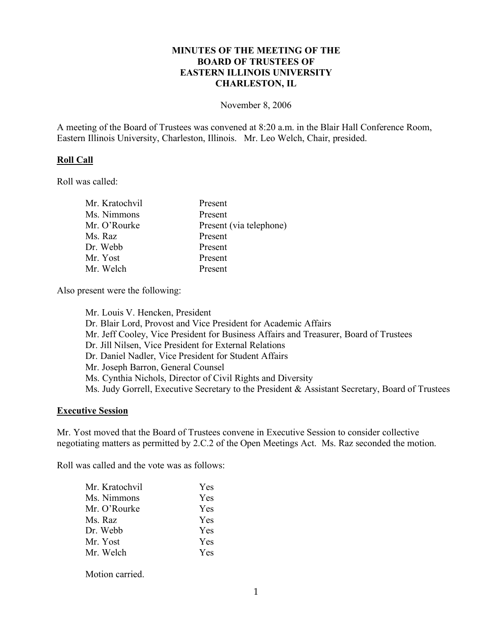# **MINUTES OF THE MEETING OF THE BOARD OF TRUSTEES OF EASTERN ILLINOIS UNIVERSITY CHARLESTON, IL**

#### November 8, 2006

A meeting of the Board of Trustees was convened at 8:20 a.m. in the Blair Hall Conference Room, Eastern Illinois University, Charleston, Illinois. Mr. Leo Welch, Chair, presided.

### **Roll Call**

Roll was called:

| Mr. Kratochvil | Present                 |
|----------------|-------------------------|
| Ms. Nimmons    | Present                 |
| Mr. O'Rourke   | Present (via telephone) |
| Ms. Raz        | Present                 |
| Dr. Webb       | Present                 |
| Mr. Yost       | Present                 |
| Mr. Welch      | Present                 |

Also present were the following:

Mr. Louis V. Hencken, President Dr. Blair Lord, Provost and Vice President for Academic Affairs Mr. Jeff Cooley, Vice President for Business Affairs and Treasurer, Board of Trustees Dr. Jill Nilsen, Vice President for External Relations Dr. Daniel Nadler, Vice President for Student Affairs Mr. Joseph Barron, General Counsel Ms. Cynthia Nichols, Director of Civil Rights and Diversity Ms. Judy Gorrell, Executive Secretary to the President & Assistant Secretary, Board of Trustees

#### **Executive Session**

Mr. Yost moved that the Board of Trustees convene in Executive Session to consider collective negotiating matters as permitted by 2.C.2 of the Open Meetings Act. Ms. Raz seconded the motion.

Roll was called and the vote was as follows:

| Mr. Kratochvil | Yes        |
|----------------|------------|
| Ms. Nimmons    | <b>Yes</b> |
| Mr. O'Rourke   | Yes        |
| Ms. Raz        | Yes        |
| Dr. Webb       | <b>Yes</b> |
| Mr. Yost       | Yes        |
| Mr. Welch      | <b>Yes</b> |
|                |            |

Motion carried.